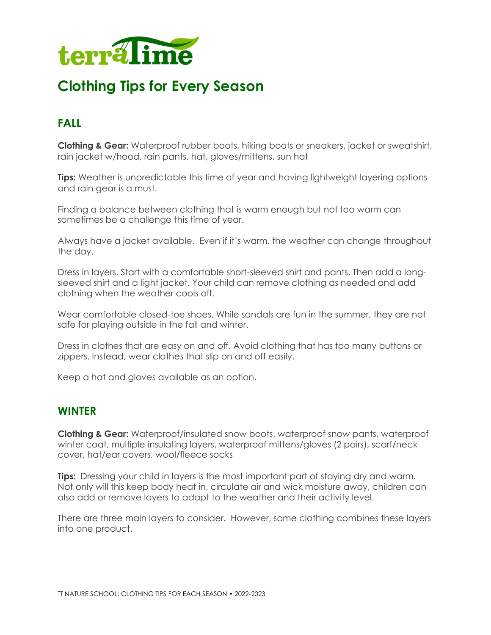

# **Clothing Tips for Every Season**

## **FALL**

**Clothing & Gear:** Waterproof rubber boots, hiking boots or sneakers, jacket or sweatshirt, rain jacket w/hood, rain pants, hat, gloves/mittens, sun hat

**Tips:** Weather is unpredictable this time of year and having lightweight layering options and rain gear is a must.

Finding a balance between clothing that is warm enough but not too warm can sometimes be a challenge this time of year.

Always have a jacket available. Even if it's warm, the weather can change throughout the day.

Dress in layers. Start with a comfortable short-sleeved shirt and pants. Then add a longsleeved shirt and a light jacket. Your child can remove clothing as needed and add clothing when the weather cools off.

Wear comfortable closed-toe shoes. While sandals are fun in the summer, they are not safe for playing outside in the fall and winter.

Dress in clothes that are easy on and off. Avoid clothing that has too many buttons or zippers. Instead, wear clothes that slip on and off easily.

Keep a hat and gloves available as an option.

### **WINTER**

**Clothing & Gear:** Waterproof/insulated snow boots, waterproof snow pants, waterproof winter coat, multiple insulating layers, waterproof mittens/gloves (2 pairs), scarf/neck cover, hat/ear covers, wool/fleece socks

**Tips:** Dressing your child in layers is the most important part of staying dry and warm. Not only will this keep body heat in, circulate air and wick moisture away, children can also add or remove layers to adapt to the weather and their activity level.

There are three main layers to consider. However, some clothing combines these layers into one product.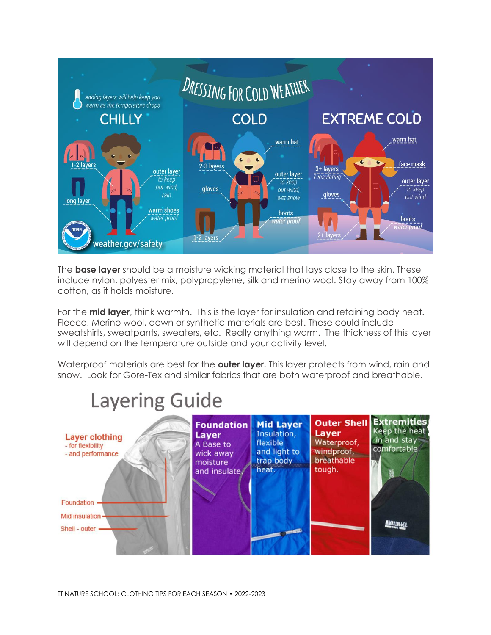

The **base layer** should be a moisture wicking material that lays close to the skin. These include nylon, polyester mix, polypropylene, silk and merino wool. Stay away from 100% cotton, as it holds moisture.

For the **mid layer**, think warmth. This is the layer for insulation and retaining body heat. Fleece, Merino wool, down or synthetic materials are best. These could include sweatshirts, sweatpants, sweaters, etc. Really anything warm. The thickness of this layer will depend on the temperature outside and your activity level.

Waterproof materials are best for the **outer layer.** This layer protects from wind, rain and snow. Look for Gore-Tex and similar fabrics that are both waterproof and breathable.